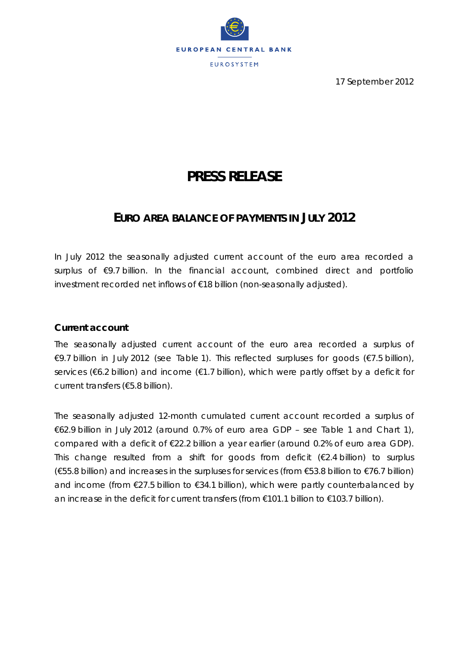

17 September 2012

# **PRESS RELEASE**

# **EURO AREA BALANCE OF PAYMENTS IN JULY 2012**

*In July 2012 the seasonally adjusted current account of the euro area recorded a surplus of €9.7 billion. In the financial account, combined direct and portfolio investment recorded net inflows of €18 billion (non-seasonally adjusted).* 

## **Current account**

The seasonally adjusted *current account* of the euro area recorded a surplus of €9.7 billion in July 2012 (see Table 1). This reflected surpluses for *goods* (€7.5 billion), *services* (€6.2 billion) and *income* (€1.7 billion), which were partly offset by a deficit for *current transfers* (€5.8 billion).

The seasonally adjusted 12-month cumulated *current account* recorded a surplus of €62.9 billion in July 2012 (around 0.7% of euro area GDP – see Table 1 and Chart 1), compared with a deficit of €22.2 billion a year earlier (around 0.2% of euro area GDP). This change resulted from a shift for *goods* from deficit (€2.4 billion) to surplus (€55.8 billion) and increases in the surpluses for *services* (from €53.8 billion to €76.7 billion) and *income* (from €27.5 billion to €34.1 billion), which were partly counterbalanced by an increase in the deficit for *current transfers* (from €101.1 billion to €103.7 billion).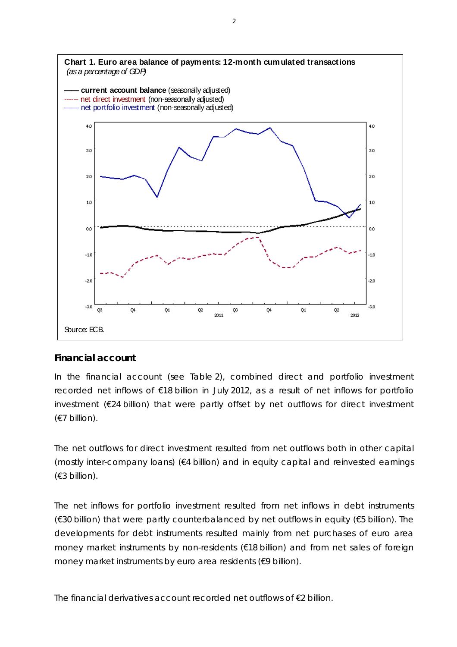

#### **Financial account**

In the financial account (see Table 2), *combined direct and portfolio investment* recorded net inflows of €18 billion in July 2012, as a result of net inflows for *portfolio investment* (€24 billion) that were partly offset by net outflows for *direct investment* (€7 billion).

The net outflows for *direct investment* resulted from net outflows both in *other capital (mostly inter-company loans)* (€4 billion) and in *equity capital and reinvested earnings* (€3 billion).

The net inflows for *portfolio investment* resulted from net inflows in *debt instruments* (€30 billion) that were partly counterbalanced by net outflows in *equity* (€5 billion). The developments for *debt instruments* resulted mainly from net purchases of euro area *money market instruments* by non-residents (€18 billion) and from net sales of foreign *money market instruments* by euro area residents (€9 billion).

The *financial derivatives* account recorded net outflows of €2 billion.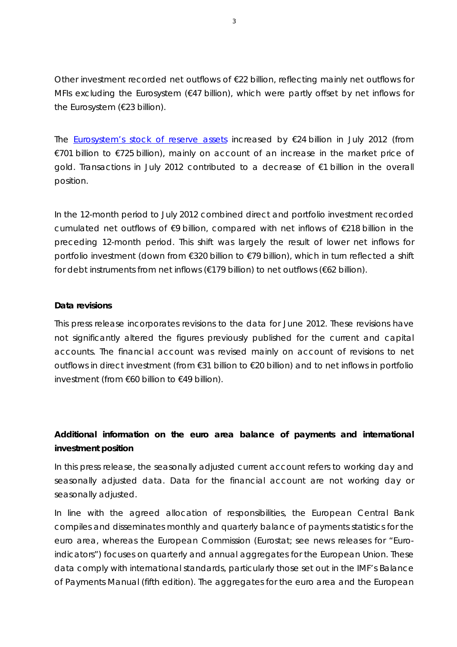*Other investment* recorded net outflows of €22 billion, reflecting mainly net outflows for *MFIs excluding the Eurosystem* (€47 billion), which were partly offset by net inflows for the *Eurosystem* (€23 billion).

The Eurosystem's stock of *reserve assets* increased by €24 billion in July 2012 (from €701 billion to €725 billion), mainly on account of an increase in the market price of gold. Transactions in July 2012 contributed to a decrease of €1 billion in the overall position.

In the 12-month period to July 2012 *combined direct and portfolio investment* recorded cumulated net outflows of €9 billion, compared with net inflows of €218 billion in the preceding 12-month period. This shift was largely the result of lower net inflows for *portfolio investment* (down from €320 billion to €79 billion), which in turn reflected a shift for *debt instruments* from net inflows (€179 billion) to net outflows (€62 billion).

#### **Data revisions**

This press release incorporates revisions to the data for June 2012. These revisions have not significantly altered the figures previously published for the *current* and *capital accounts*. The *financial account* was revised mainly on account of revisions to net outflows in *direct investment* (from €31 billion to €20 billion) and to net inflows in *portfolio investment* (from €60 billion to €49 billion).

# **Additional information on the euro area balance of payments and international investment position**

*In this press release, the seasonally adjusted current account refers to working day and seasonally adjusted data. Data for the financial account are not working day or seasonally adjusted.* 

*In line with the agreed allocation of responsibilities, the European Central Bank compiles and disseminates monthly and quarterly balance of payments statistics for the euro area, whereas the European Commission (Eurostat; see news releases for "Euroindicators") focuses on quarterly and annual aggregates for the European Union. These data comply with international standards, particularly those set out in the IMF's Balance of Payments Manual (fifth edition). The aggregates for the euro area and the European*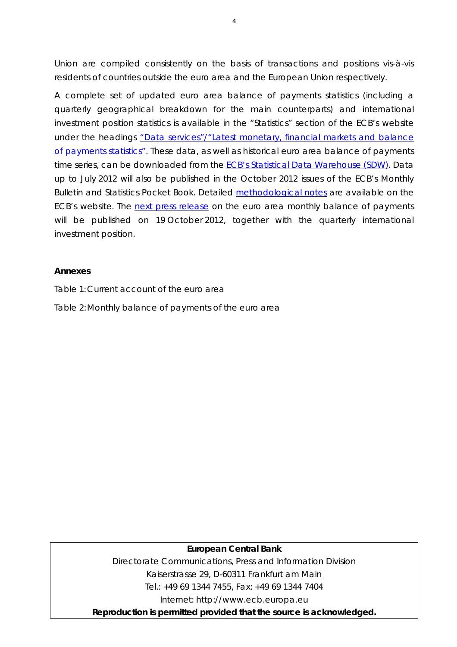*Union are compiled consistently on the basis of transactions and positions vis-à-vis residents of countries outside the euro area and the European Union respectively.* 

*A complete set of updated euro area balance of payments statistics (including a quarterly geographical breakdown for the main counterparts) and international investment position statistics is available in the "Statistics" section of the ECB's website under the headings "Data services"/"Latest monetary, financial markets and balance of payments statistics". These data, as well as historical euro area balance of payments time series, can be downloaded from the ECB's Statistical Data Warehouse (SDW). Data up to July 2012 will also be published in the October 2012 issues of the ECB's Monthly Bulletin and Statistics Pocket Book. Detailed methodological notes are available on the ECB's website. The next press release on the euro area monthly balance of payments* will be published on 19 October 2012, together with the quarterly international *investment position.* 

#### **Annexes**

Table 1: Current account of the euro area

Table 2: Monthly balance of payments of the euro area

#### **European Central Bank**

Directorate Communications, Press and Information Division Kaiserstrasse 29, D-60311 Frankfurt am Main Tel.: +49 69 1344 7455, Fax: +49 69 1344 7404 Internet: http://www.ecb.europa.eu

**Reproduction is permitted provided that the source is acknowledged.**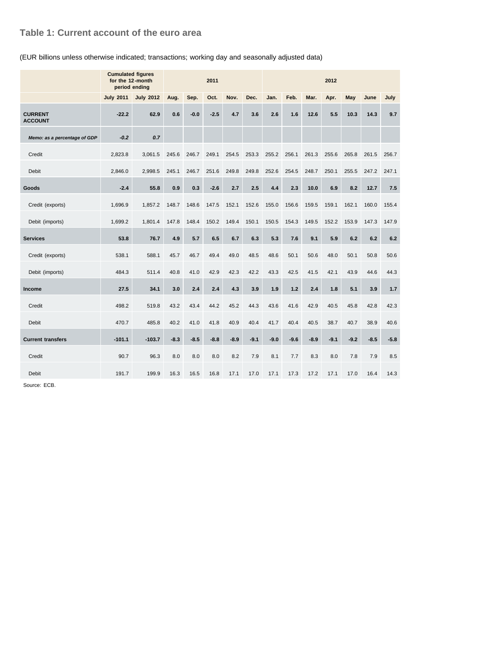### **Table 1: Current account of the euro area**

#### (EUR billions unless otherwise indicated; transactions; working day and seasonally adjusted data)

|                                  | <b>Cumulated figures</b><br>for the 12-month<br>period ending | 2011             |        |        |        |        | 2012   |        |        |        |        |        |        |        |
|----------------------------------|---------------------------------------------------------------|------------------|--------|--------|--------|--------|--------|--------|--------|--------|--------|--------|--------|--------|
|                                  | <b>July 2011</b>                                              | <b>July 2012</b> | Aug.   | Sep.   | Oct.   | Nov.   | Dec.   | Jan.   | Feb.   | Mar.   | Apr.   | May    | June   | July   |
| <b>CURRENT</b><br><b>ACCOUNT</b> | $-22.2$                                                       | 62.9             | 0.6    | $-0.0$ | $-2.5$ | 4.7    | 3.6    | 2.6    | 1.6    | 12.6   | 5.5    | 10.3   | 14.3   | 9.7    |
| Memo: as a percentage of GDP     | $-0.2$                                                        | 0.7              |        |        |        |        |        |        |        |        |        |        |        |        |
| Credit                           | 2,823.8                                                       | 3,061.5          | 245.6  | 246.7  | 249.1  | 254.5  | 253.3  | 255.2  | 256.1  | 261.3  | 255.6  | 265.8  | 261.5  | 256.7  |
| <b>Debit</b>                     | 2,846.0                                                       | 2,998.5          | 245.1  | 246.7  | 251.6  | 249.8  | 249.8  | 252.6  | 254.5  | 248.7  | 250.1  | 255.5  | 247.2  | 247.1  |
| Goods                            | $-2.4$                                                        | 55.8             | 0.9    | 0.3    | $-2.6$ | 2.7    | 2.5    | 4.4    | 2.3    | 10.0   | 6.9    | 8.2    | 12.7   | 7.5    |
| Credit (exports)                 | 1,696.9                                                       | 1,857.2          | 148.7  | 148.6  | 147.5  | 152.1  | 152.6  | 155.0  | 156.6  | 159.5  | 159.1  | 162.1  | 160.0  | 155.4  |
| Debit (imports)                  | 1,699.2                                                       | 1,801.4          | 147.8  | 148.4  | 150.2  | 149.4  | 150.1  | 150.5  | 154.3  | 149.5  | 152.2  | 153.9  | 147.3  | 147.9  |
| <b>Services</b>                  | 53.8                                                          | 76.7             | 4.9    | 5.7    | 6.5    | 6.7    | 6.3    | 5.3    | 7.6    | 9.1    | 5.9    | 6.2    | 6.2    | 6.2    |
| Credit (exports)                 | 538.1                                                         | 588.1            | 45.7   | 46.7   | 49.4   | 49.0   | 48.5   | 48.6   | 50.1   | 50.6   | 48.0   | 50.1   | 50.8   | 50.6   |
| Debit (imports)                  | 484.3                                                         | 511.4            | 40.8   | 41.0   | 42.9   | 42.3   | 42.2   | 43.3   | 42.5   | 41.5   | 42.1   | 43.9   | 44.6   | 44.3   |
| Income                           | 27.5                                                          | 34.1             | 3.0    | 2.4    | 2.4    | 4.3    | 3.9    | 1.9    | 1.2    | 2.4    | 1.8    | 5.1    | 3.9    | 1.7    |
| Credit                           | 498.2                                                         | 519.8            | 43.2   | 43.4   | 44.2   | 45.2   | 44.3   | 43.6   | 41.6   | 42.9   | 40.5   | 45.8   | 42.8   | 42.3   |
| <b>Debit</b>                     | 470.7                                                         | 485.8            | 40.2   | 41.0   | 41.8   | 40.9   | 40.4   | 41.7   | 40.4   | 40.5   | 38.7   | 40.7   | 38.9   | 40.6   |
| <b>Current transfers</b>         | $-101.1$                                                      | $-103.7$         | $-8.3$ | $-8.5$ | $-8.8$ | $-8.9$ | $-9.1$ | $-9.0$ | $-9.6$ | $-8.9$ | $-9.1$ | $-9.2$ | $-8.5$ | $-5.8$ |
| Credit                           | 90.7                                                          | 96.3             | 8.0    | 8.0    | 8.0    | 8.2    | 7.9    | 8.1    | 7.7    | 8.3    | 8.0    | 7.8    | 7.9    | 8.5    |
| <b>Debit</b>                     | 191.7                                                         | 199.9            | 16.3   | 16.5   | 16.8   | 17.1   | 17.0   | 17.1   | 17.3   | 17.2   | 17.1   | 17.0   | 16.4   | 14.3   |

Source: ECB.